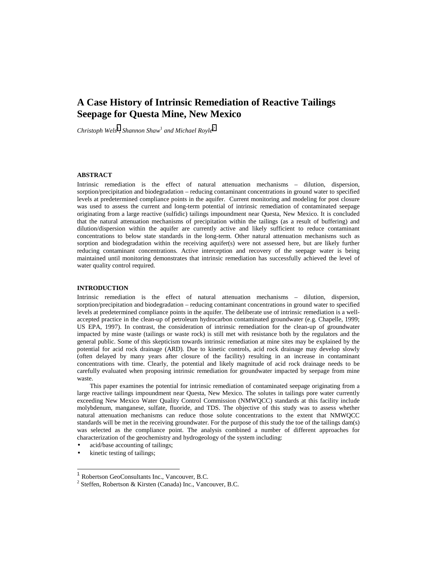# **A Case History of Intrinsic Remediation of Reactive Tailings Seepage for Questa Mine, New Mexico**

Christoph Wels<sup>1</sup>, Shannon Shaw<sup>1</sup> and Michael Royle<sup>2</sup>

#### **ABSTRACT**

Intrinsic remediation is the effect of natural attenuation mechanisms – dilution, dispersion, sorption/precipitation and biodegradation – reducing contaminant concentrations in ground water to specified levels at predetermined compliance points in the aquifer. Current monitoring and modeling for post closure was used to assess the current and long-term potential of intrinsic remediation of contaminated seepage originating from a large reactive (sulfidic) tailings impoundment near Questa, New Mexico. It is concluded that the natural attenuation mechanisms of precipitation within the tailings (as a result of buffering) and dilution/dispersion within the aquifer are currently active and likely sufficient to reduce contaminant concentrations to below state standards in the long-term. Other natural attenuation mechanisms such as sorption and biodegradation within the receiving aquifer(s) were not assessed here, but are likely further reducing contaminant concentrations. Active interception and recovery of the seepage water is being maintained until monitoring demonstrates that intrinsic remediation has successfully achieved the level of water quality control required.

## **INTRODUCTION**

Intrinsic remediation is the effect of natural attenuation mechanisms – dilution, dispersion, sorption/precipitation and biodegradation – reducing contaminant concentrations in ground water to specified levels at predetermined compliance points in the aquifer. The deliberate use of intrinsic remediation is a wellaccepted practice in the clean-up of petroleum hydrocarbon contaminated groundwater (e.g. Chapelle, 1999; US EPA, 1997). In contrast, the consideration of intrinsic remediation for the clean-up of groundwater impacted by mine waste (tailings or waste rock) is still met with resistance both by the regulators and the general public. Some of this skepticism towards intrinsic remediation at mine sites may be explained by the potential for acid rock drainage (ARD). Due to kinetic controls, acid rock drainage may develop slowly (often delayed by many years after closure of the facility) resulting in an increase in contaminant concentrations with time. Clearly, the potential and likely magnitude of acid rock drainage needs to be carefully evaluated when proposing intrinsic remediation for groundwater impacted by seepage from mine waste.

This paper examines the potential for intrinsic remediation of contaminated seepage originating from a large reactive tailings impoundment near Questa, New Mexico. The solutes in tailings pore water currently exceeding New Mexico Water Quality Control Commission (NMWQCC) standards at this facility include molybdenum, manganese, sulfate, fluoride, and TDS. The objective of this study was to assess whether natural attenuation mechanisms can reduce those solute concentrations to the extent that NMWQCC standards will be met in the receiving groundwater. For the purpose of this study the toe of the tailings dam(s) was selected as the compliance point. The analysis combined a number of different approaches for characterization of the geochemistry and hydrogeology of the system including:

- acid/base accounting of tailings;
- kinetic testing of tailings;

l

<sup>1</sup> Robertson GeoConsultants Inc., Vancouver, B.C.

<sup>&</sup>lt;sup>2</sup> Steffen, Robertson & Kirsten (Canada) Inc., Vancouver, B.C.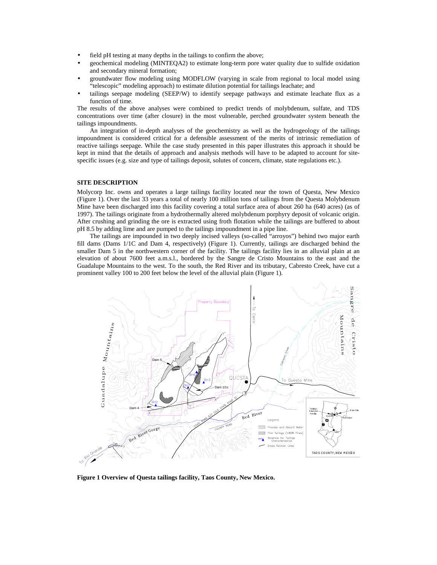- field pH testing at many depths in the tailings to confirm the above;
- geochemical modeling (MINTEQA2) to estimate long-term pore water quality due to sulfide oxidation and secondary mineral formation;
- groundwater flow modeling using MODFLOW (varying in scale from regional to local model using "telescopic" modeling approach) to estimate dilution potential for tailings leachate; and
- tailings seepage modeling (SEEP/W) to identify seepage pathways and estimate leachate flux as a function of time.

The results of the above analyses were combined to predict trends of molybdenum, sulfate, and TDS concentrations over time (after closure) in the most vulnerable, perched groundwater system beneath the tailings impoundments.

An integration of in-depth analyses of the geochemistry as well as the hydrogeology of the tailings impoundment is considered critical for a defensible assessment of the merits of intrinsic remediation of reactive tailings seepage. While the case study presented in this paper illustrates this approach it should be kept in mind that the details of approach and analysis methods will have to be adapted to account for sitespecific issues (e.g. size and type of tailings deposit, solutes of concern, climate, state regulations etc.).

#### **SITE DESCRIPTION**

Molycorp Inc. owns and operates a large tailings facility located near the town of Questa, New Mexico (Figure 1). Over the last 33 years a total of nearly 100 million tons of tailings from the Questa Molybdenum Mine have been discharged into this facility covering a total surface area of about 260 ha (640 acres) (as of 1997). The tailings originate from a hydrothermally altered molybdenum porphyry deposit of volcanic origin. After crushing and grinding the ore is extracted using froth flotation while the tailings are buffered to about pH 8.5 by adding lime and are pumped to the tailings impoundment in a pipe line.

The tailings are impounded in two deeply incised valleys (so-called "arroyos") behind two major earth fill dams (Dams 1/1C and Dam 4, respectively) (Figure 1). Currently, tailings are discharged behind the smaller Dam 5 in the northwestern corner of the facility. The tailings facility lies in an alluvial plain at an elevation of about 7600 feet a.m.s.l., bordered by the Sangre de Cristo Mountains to the east and the Guadalupe Mountains to the west. To the south, the Red River and its tributary, Cabresto Creek, have cut a prominent valley 100 to 200 feet below the level of the alluvial plain (Figure 1).



**Figure 1 Overview of Questa tailings facility, Taos County, New Mexico.**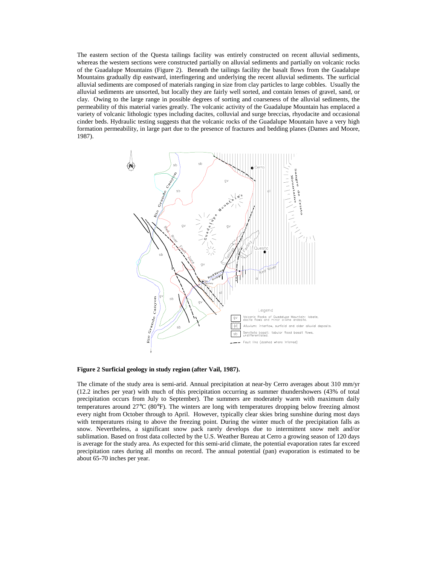The eastern section of the Questa tailings facility was entirely constructed on recent alluvial sediments, whereas the western sections were constructed partially on alluvial sediments and partially on volcanic rocks of the Guadalupe Mountains (Figure 2). Beneath the tailings facility the basalt flows from the Guadalupe Mountains gradually dip eastward, interfingering and underlying the recent alluvial sediments. The surficial alluvial sediments are composed of materials ranging in size from clay particles to large cobbles. Usually the alluvial sediments are unsorted, but locally they are fairly well sorted, and contain lenses of gravel, sand, or clay. Owing to the large range in possible degrees of sorting and coarseness of the alluvial sediments, the permeability of this material varies greatly. The volcanic activity of the Guadalupe Mountain has emplaced a variety of volcanic lithologic types including dacites, colluvial and surge breccias, rhyodacite and occasional cinder beds. Hydraulic testing suggests that the volcanic rocks of the Guadalupe Mountain have a very high formation permeability, in large part due to the presence of fractures and bedding planes (Dames and Moore, 1987).



# **Figure 2 Surficial geology in study region (after Vail, 1987).**

The climate of the study area is semi-arid. Annual precipitation at near-by Cerro averages about 310 mm/yr (12.2 inches per year) with much of this precipitation occurring as summer thundershowers (43% of total precipitation occurs from July to September). The summers are moderately warm with maximum daily temperatures around 27°C (80°F). The winters are long with temperatures dropping below freezing almost every night from October through to April. However, typically clear skies bring sunshine during most days with temperatures rising to above the freezing point. During the winter much of the precipitation falls as snow. Nevertheless, a significant snow pack rarely develops due to intermittent snow melt and/or sublimation. Based on frost data collected by the U.S. Weather Bureau at Cerro a growing season of 120 days is average for the study area. As expected for this semi-arid climate, the potential evaporation rates far exceed precipitation rates during all months on record. The annual potential (pan) evaporation is estimated to be about 65-70 inches per year.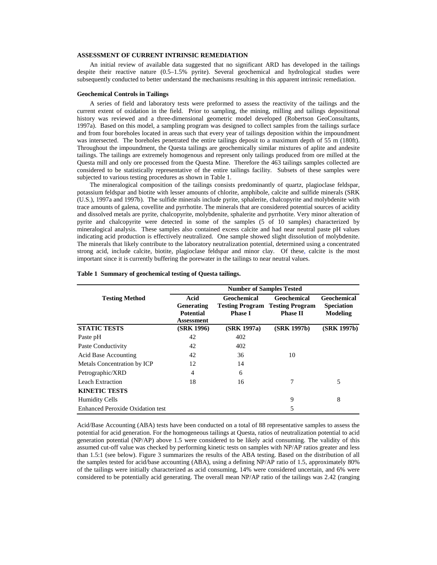### **ASSESSMENT OF CURRENT INTRINSIC REMEDIATION**

An initial review of available data suggested that no significant ARD has developed in the tailings despite their reactive nature (0.5–1.5% pyrite). Several geochemical and hydrological studies were subsequently conducted to better understand the mechanisms resulting in this apparent intrinsic remediation.

#### **Geochemical Controls in Tailings**

A series of field and laboratory tests were preformed to assess the reactivity of the tailings and the current extent of oxidation in the field. Prior to sampling, the mining, milling and tailings depositional history was reviewed and a three-dimensional geometric model developed (Robertson GeoConsultants, 1997a). Based on this model, a sampling program was designed to collect samples from the tailings surface and from four boreholes located in areas such that every year of tailings deposition within the impoundment was intersected. The boreholes penetrated the entire tailings deposit to a maximum depth of 55 m (180ft). Throughout the impoundment, the Questa tailings are geochemically similar mixtures of aplite and andesite tailings. The tailings are extremely homogenous and represent only tailings produced from ore milled at the Questa mill and only ore processed from the Questa Mine. Therefore the 463 tailings samples collected are considered to be statistically representative of the entire tailings facility. Subsets of these samples were subjected to various testing procedures as shown in Table 1.

The mineralogical composition of the tailings consists predominantly of quartz, plagioclase feldspar, potassium feldspar and biotite with lesser amounts of chlorite, amphibole, calcite and sulfide minerals (SRK (U.S.), 1997a and 1997b). The sulfide minerals include pyrite, sphalerite, chalcopyrite and molybdenite with trace amounts of galena, covellite and pyrrhotite. The minerals that are considered potential sources of acidity and dissolved metals are pyrite, chalcopyrite, molybdenite, sphalerite and pyrrhotite. Very minor alteration of pyrite and chalcopyrite were detected in some of the samples (5 of 10 samples) characterized by mineralogical analysis. These samples also contained excess calcite and had near neutral paste pH values indicating acid production is effectively neutralized. One sample showed slight dissolution of molybdenite. The minerals that likely contribute to the laboratory neutralization potential, determined using a concentrated strong acid, include calcite, biotite, plagioclase feldspar and minor clay. Of these, calcite is the most important since it is currently buffering the porewater in the tailings to near neutral values.

| <b>Testing Method</b>                   | Acid<br>Geochemical |                        | <b>Geochemical</b>     | Geochemical       |  |
|-----------------------------------------|---------------------|------------------------|------------------------|-------------------|--|
|                                         | Generating          | <b>Testing Program</b> | <b>Testing Program</b> | <b>Speciation</b> |  |
|                                         | <b>Potential</b>    | <b>Phase I</b>         | <b>Phase II</b>        | <b>Modeling</b>   |  |
|                                         | Assessment          |                        |                        |                   |  |
| <b>STATIC TESTS</b>                     | (SRK 1996)          | (SRK 1997a)            | (SRK 1997b)            | (SRK 1997b)       |  |
| Paste pH                                | 42                  | 402                    |                        |                   |  |
| Paste Conductivity                      | 42                  | 402                    |                        |                   |  |
| <b>Acid Base Accounting</b>             | 42                  | 36                     | 10                     |                   |  |
| Metals Concentration by ICP             | 12                  | 14                     |                        |                   |  |
| Petrographic/XRD                        | 4                   | 6                      |                        |                   |  |
| Leach Extraction                        | 18                  | 16                     | 7                      | 5                 |  |
| <b>KINETIC TESTS</b>                    |                     |                        |                        |                   |  |
| <b>Humidity Cells</b>                   |                     |                        | 9                      | 8                 |  |
| <b>Enhanced Peroxide Oxidation test</b> |                     |                        | 5                      |                   |  |

#### **Table 1 Summary of geochemical testing of Questa tailings.**

Acid/Base Accounting (ABA) tests have been conducted on a total of 88 representative samples to assess the potential for acid generation. For the homogeneous tailings at Questa, ratios of neutralization potential to acid generation potential (NP/AP) above 1.5 were considered to be likely acid consuming. The validity of this assumed cut-off value was checked by performing kinetic tests on samples with NP/AP ratios greater and less than 1.5:1 (see below). Figure 3 summarizes the results of the ABA testing. Based on the distribution of all the samples tested for acid/base accounting (ABA), using a defining NP/AP ratio of 1.5, approximately 80% of the tailings were initially characterized as acid consuming, 14% were considered uncertain, and 6% were considered to be potentially acid generating. The overall mean NP/AP ratio of the tailings was 2.42 (ranging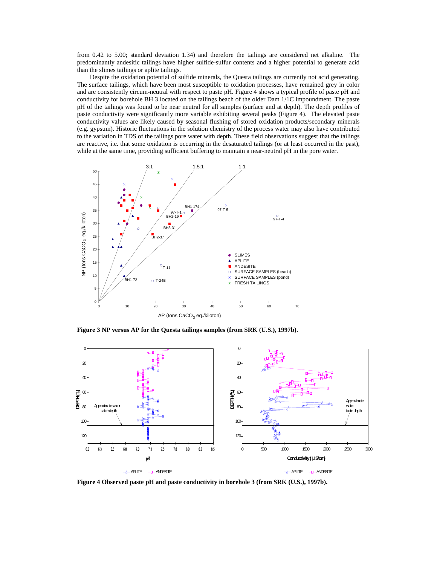from 0.42 to 5.00; standard deviation 1.34) and therefore the tailings are considered net alkaline. The predominantly andesitic tailings have higher sulfide-sulfur contents and a higher potential to generate acid than the slimes tailings or aplite tailings.

Despite the oxidation potential of sulfide minerals, the Questa tailings are currently not acid generating. The surface tailings, which have been most susceptible to oxidation processes, have remained grey in color and are consistently circum-neutral with respect to paste pH. Figure 4 shows a typical profile of paste pH and conductivity for borehole BH 3 located on the tailings beach of the older Dam 1/1C impoundment. The paste pH of the tailings was found to be near neutral for all samples (surface and at depth). The depth profiles of paste conductivity were significantly more variable exhibiting several peaks (Figure 4). The elevated paste conductivity values are likely caused by seasonal flushing of stored oxidation products/secondary minerals (e.g. gypsum). Historic fluctuations in the solution chemistry of the process water may also have contributed to the variation in TDS of the tailings pore water with depth. These field observations suggest that the tailings are reactive, i.e. that some oxidation is occurring in the desaturated tailings (or at least occurred in the past), while at the same time, providing sufficient buffering to maintain a near-neutral pH in the pore water.



**Figure 3 NP versus AP for the Questa tailings samples (from SRK (U.S.), 1997b).**



**Figure 4 Observed paste pH and paste conductivity in borehole 3 (from SRK (U.S.), 1997b).**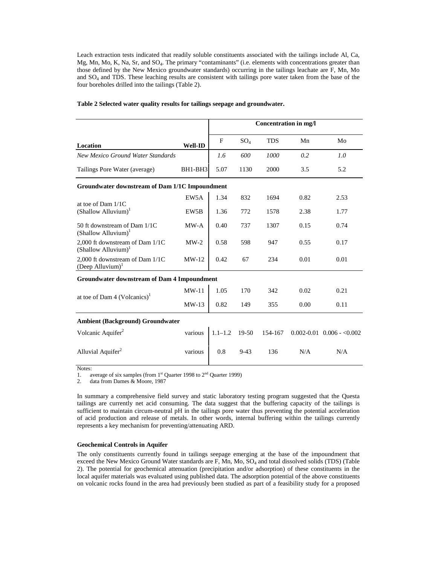Leach extraction tests indicated that readily soluble constituents associated with the tailings include Al, Ca, Mg, Mn, Mo, K, Na, Sr, and SO4. The primary "contaminants" (i.e. elements with concentrations greater than those defined by the New Mexico groundwater standards) occurring in the tailings leachate are F, Mn, Mo and SO4 and TDS. These leaching results are consistent with tailings pore water taken from the base of the four boreholes drilled into the tailings (Table 2).

|                                                                    |                   | <b>Concentration in mg/l</b> |        |            |      |                                |  |
|--------------------------------------------------------------------|-------------------|------------------------------|--------|------------|------|--------------------------------|--|
| Location                                                           | <b>Well-ID</b>    | F                            | $SO_4$ | <b>TDS</b> | Mn   | Mo                             |  |
| <b>New Mexico Ground Water Standards</b>                           |                   | 1.6                          | 600    | 1000       | 0.2  | 1.0                            |  |
| Tailings Pore Water (average)                                      | BH1-BH3           | 5.07                         | 1130   | 2000       | 3.5  | 5.2                            |  |
| Groundwater downstream of Dam 1/1C Impoundment                     |                   |                              |        |            |      |                                |  |
|                                                                    | EW5A              | 1.34                         | 832    | 1694       | 0.82 | 2.53                           |  |
| at toe of Dam $1/1C$<br>(Shallow Alluvium) <sup>1</sup>            | EW <sub>5</sub> B | 1.36                         | 772    | 1578       | 2.38 | 1.77                           |  |
| 50 ft downstream of Dam 1/1C<br>$(Shallow$ Alluvium) <sup>1</sup>  | $MW-A$            | 0.40                         | 737    | 1307       | 0.15 | 0.74                           |  |
| 2,000 ft downstream of Dam 1/1C<br>(Shallow Alluvium) <sup>1</sup> | $MW-2$            | 0.58                         | 598    | 947        | 0.55 | 0.17                           |  |
| 2,000 ft downstream of Dam 1/1C<br>(Deep Alluvium) $1$             | $MW-12$           | 0.42                         | 67     | 234        | 0.01 | 0.01                           |  |
| <b>Groundwater downstream of Dam 4 Impoundment</b>                 |                   |                              |        |            |      |                                |  |
| at toe of Dam 4 (Volcanics) <sup>1</sup>                           | $MW-11$           | 1.05                         | 170    | 342        | 0.02 | 0.21                           |  |
|                                                                    | $MW-13$           | 0.82                         | 149    | 355        | 0.00 | 0.11                           |  |
| <b>Ambient (Background) Groundwater</b>                            |                   |                              |        |            |      |                                |  |
| Volcanic Aquifer <sup>2</sup>                                      | various           | $1.1 - 1.2$                  | 19-50  | 154-167    |      | $0.002 - 0.01$ $0.006 - 0.002$ |  |
| Alluvial Aquifer <sup>2</sup>                                      | various           | 0.8                          | $9-43$ | 136        | N/A  | N/A                            |  |
| Notae:                                                             |                   |                              |        |            |      |                                |  |

#### **Table 2 Selected water quality results for tailings seepage and groundwater.**

Notes:

1. average of six samples (from  $1<sup>st</sup>$  Quarter 1998 to  $2<sup>nd</sup>$  Quarter 1999)

2. data from Dames & Moore, 1987

In summary a comprehensive field survey and static laboratory testing program suggested that the Questa tailings are currently net acid consuming. The data suggest that the buffering capacity of the tailings is sufficient to maintain circum-neutral pH in the tailings pore water thus preventing the potential acceleration of acid production and release of metals. In other words, internal buffering within the tailings currently represents a key mechanism for preventing/attenuating ARD.

### **Geochemical Controls in Aquifer**

The only constituents currently found in tailings seepage emerging at the base of the impoundment that exceed the New Mexico Ground Water standards are F, Mn, Mo, SO<sub>4</sub> and total dissolved solids (TDS) (Table 2). The potential for geochemical attenuation (precipitation and/or adsorption) of these constituents in the local aquifer materials was evaluated using published data. The adsorption potential of the above constituents on volcanic rocks found in the area had previously been studied as part of a feasibility study for a proposed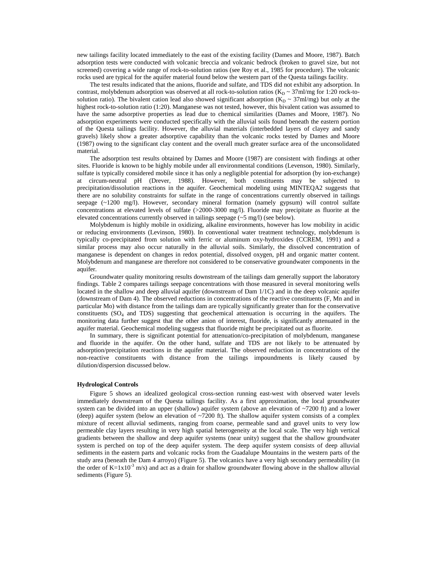new tailings facility located immediately to the east of the existing facility (Dames and Moore, 1987). Batch adsorption tests were conducted with volcanic breccia and volcanic bedrock (broken to gravel size, but not screened) covering a wide range of rock-to-solution ratios (see Roy et al., 1985 for procedure). The volcanic rocks used are typical for the aquifer material found below the western part of the Questa tailings facility.

The test results indicated that the anions, fluoride and sulfate, and TDS did not exhibit any adsorption. In contrast, molybdenum adsorption was observed at all rock-to-solution ratios ( $K_D \sim 37$ ml/mg for 1:20 rock-tosolution ratio). The bivalent cation lead also showed significant adsorption  $(K_D \sim 37 \text{ml/mg})$  but only at the highest rock-to-solution ratio (1:20). Manganese was not tested, however, this bivalent cation was assumed to have the same adsorptive properties as lead due to chemical similarities (Dames and Moore, 1987). No adsorption experiments were conducted specifically with the alluvial soils found beneath the eastern portion of the Questa tailings facility. However, the alluvial materials (interbedded layers of clayey and sandy gravels) likely show a greater adsorptive capability than the volcanic rocks tested by Dames and Moore (1987) owing to the significant clay content and the overall much greater surface area of the unconsolidated material.

The adsorption test results obtained by Dames and Moore (1987) are consistent with findings at other sites. Fluoride is known to be highly mobile under all environmental conditions (Levenson, 1980). Similarly, sulfate is typically considered mobile since it has only a negligible potential for adsorption (by ion-exchange) at circum-neutral pH (Drever, 1988). However, both constituents may be subjected to precipitation/dissolution reactions in the aquifer. Geochemical modeling using MINTEQA2 suggests that there are no solubility constraints for sulfate in the range of concentrations currently observed in tailings seepage (~1200 mg/l). However, secondary mineral formation (namely gypsum) will control sulfate concentrations at elevated levels of sulfate (>2000-3000 mg/l). Fluoride may precipitate as fluorite at the elevated concentrations currently observed in tailings seepage (~5 mg/l) (see below).

Molybdenum is highly mobile in oxidizing, alkaline environments, however has low mobility in acidic or reducing environments (Levinson, 1980). In conventional water treatment technology, molybdenum is typically co-precipitated from solution with ferric or aluminum oxy-hydroxides (CCREM, 1991) and a similar process may also occur naturally in the alluvial soils. Similarly, the dissolved concentration of manganese is dependent on changes in redox potential, dissolved oxygen, pH and organic matter content. Molybdenum and manganese are therefore not considered to be conservative groundwater components in the aquifer.

Groundwater quality monitoring results downstream of the tailings dam generally support the laboratory findings. Table 2 compares tailings seepage concentrations with those measured in several monitoring wells located in the shallow and deep alluvial aquifer (downstream of Dam 1/1C) and in the deep volcanic aquifer (downstream of Dam 4). The observed reductions in concentrations of the reactive constituents (F, Mn and in particular Mo) with distance from the tailings dam are typically significantly greater than for the conservative constituents  $(SO<sub>4</sub>$  and TDS) suggesting that geochemical attenuation is occurring in the aquifers. The monitoring data further suggest that the other anion of interest, fluoride, is significantly attenuated in the aquifer material. Geochemical modeling suggests that fluoride might be precipitated out as fluorite.

In summary, there is significant potential for attenuation/co-precipitation of molybdenum, manganese and fluoride in the aquifer. On the other hand, sulfate and TDS are not likely to be attenuated by adsorption/precipitation reactions in the aquifer material. The observed reduction in concentrations of the non-reactive constituents with distance from the tailings impoundments is likely caused by dilution/dispersion discussed below.

## **Hydrological Controls**

Figure 5 shows an idealized geological cross-section running east-west with observed water levels immediately downstream of the Questa tailings facility. As a first approximation, the local groundwater system can be divided into an upper (shallow) aquifer system (above an elevation of ~7200 ft) and a lower (deep) aquifer system (below an elevation of  $\sim$ 7200 ft). The shallow aquifer system consists of a complex mixture of recent alluvial sediments, ranging from coarse, permeable sand and gravel units to very low permeable clay layers resulting in very high spatial heterogeneity at the local scale. The very high vertical gradients between the shallow and deep aquifer systems (near unity) suggest that the shallow groundwater system is perched on top of the deep aquifer system. The deep aquifer system consists of deep alluvial sediments in the eastern parts and volcanic rocks from the Guadalupe Mountains in the western parts of the study area (beneath the Dam 4 arroyo) (Figure 5). The volcanics have a very high secondary permeability (in the order of K=1x10<sup>-3</sup> m/s) and act as a drain for shallow groundwater flowing above in the shallow alluvial sediments (Figure 5).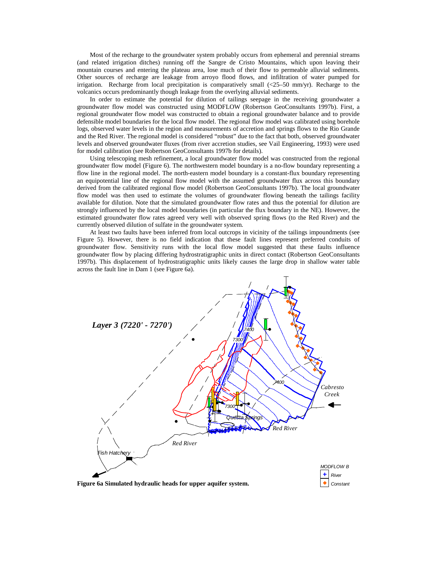Most of the recharge to the groundwater system probably occurs from ephemeral and perennial streams (and related irrigation ditches) running off the Sangre de Cristo Mountains, which upon leaving their mountain courses and entering the plateau area, lose much of their flow to permeable alluvial sediments. Other sources of recharge are leakage from arroyo flood flows, and infiltration of water pumped for irrigation. Recharge from local precipitation is comparatively small  $\langle 25-50 \text{ mm/yr} \rangle$ . Recharge to the volcanics occurs predominantly though leakage from the overlying alluvial sediments.

In order to estimate the potential for dilution of tailings seepage in the receiving groundwater a groundwater flow model was constructed using MODFLOW (Robertson GeoConsultants 1997b). First, a regional groundwater flow model was constructed to obtain a regional groundwater balance and to provide defensible model boundaries for the local flow model. The regional flow model was calibrated using borehole logs, observed water levels in the region and measurements of accretion and springs flows to the Rio Grande and the Red River. The regional model is considered "robust" due to the fact that both, observed groundwater levels and observed groundwater fluxes (from river accretion studies, see Vail Engineering, 1993) were used for model calibration (see Robertson GeoConsultants 1997b for details).

Using telescoping mesh refinement, a local groundwater flow model was constructed from the regional groundwater flow model (Figure 6). The northwestern model boundary is a no-flow boundary representing a flow line in the regional model. The north-eastern model boundary is a constant-flux boundary representing an equipotential line of the regional flow model with the assumed groundwater flux across this boundary derived from the calibrated regional flow model (Robertson GeoConsultants 1997b). The local groundwater flow model was then used to estimate the volumes of groundwater flowing beneath the tailings facility available for dilution. Note that the simulated groundwater flow rates and thus the potential for dilution are strongly influenced by the local model boundaries (in particular the flux boundary in the NE). However, the estimated groundwater flow rates agreed very well with observed spring flows (to the Red River) and the currently observed dilution of sulfate in the groundwater system.

At least two faults have been inferred from local outcrops in vicinity of the tailings impoundments (see Figure 5). However, there is no field indication that these fault lines represent preferred conduits of groundwater flow. Sensitivity runs with the local flow model suggested that these faults influence groundwater flow by placing differing hydrostratigraphic units in direct contact (Robertson GeoConsultants 1997b). This displacement of hydrostratigraphic units likely causes the large drop in shallow water table across the fault line in Dam 1 (see Figure 6a).

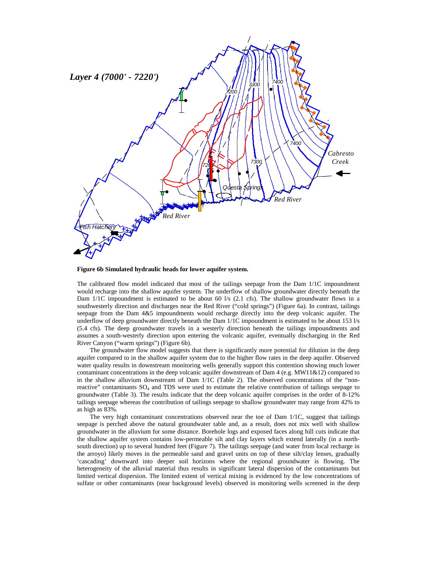

**Figure 6b Simulated hydraulic heads for lower aquifer system.**

The calibrated flow model indicated that most of the tailings seepage from the Dam 1/1C impoundment would recharge into the shallow aquifer system. The underflow of shallow groundwater directly beneath the Dam 1/1C impoundment is estimated to be about 60 l/s (2.1 cfs). The shallow groundwater flows in a southwesterly direction and discharges near the Red River ("cold springs") (Figure 6a). In contrast, tailings seepage from the Dam 4&5 impoundments would recharge directly into the deep volcanic aquifer. The underflow of deep groundwater directly beneath the Dam 1/1C impoundment is estimated to be about 153 l/s (5.4 cfs). The deep groundwater travels in a westerly direction beneath the tailings impoundments and assumes a south-westerly direction upon entering the volcanic aquifer, eventually discharging in the Red River Canyon ("warm springs") (Figure 6b).

The groundwater flow model suggests that there is significantly more potential for dilution in the deep aquifer compared to in the shallow aquifer system due to the higher flow rates in the deep aquifer. Observed water quality results in downstream monitoring wells generally support this contention showing much lower contaminant concentrations in the deep volcanic aquifer downstream of Dam 4 (e.g. MW11&12) compared to in the shallow alluvium downstream of Dam 1/1C (Table 2). The observed concentrations of the "nonreactive" contaminants SO<sub>4</sub> and TDS were used to estimate the relative contribution of tailings seepage to groundwater (Table 3). The results indicate that the deep volcanic aquifer comprises in the order of 8-12% tailings seepage whereas the contribution of tailings seepage to shallow groundwater may range from 42% to as high as 83%.

The very high contaminant concentrations observed near the toe of Dam 1/1C, suggest that tailings seepage is perched above the natural groundwater table and, as a result, does not mix well with shallow groundwater in the alluvium for some distance. Borehole logs and exposed faces along hill cuts indicate that the shallow aquifer system contains low-permeable silt and clay layers which extend laterally (in a northsouth direction) up to several hundred feet (Figure 7). The tailings seepage (and water from local recharge in the arroyo) likely moves in the permeable sand and gravel units on top of these silt/clay lenses, gradually 'cascading' downward into deeper soil horizons where the regional groundwater is flowing. The heterogeneity of the alluvial material thus results in significant lateral dispersion of the contaminants but limited vertical dispersion. The limited extent of vertical mixing is evidenced by the low concentrations of sulfate or other contaminants (near background levels) observed in monitoring wells screened in the deep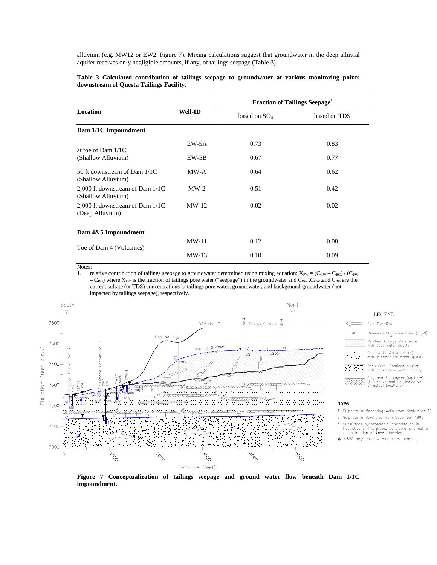alluvium (e.g. MW12 or EW2, Figure 7). Mixing calculations suggest that groundwater in the deep alluvial aquifer receives only negligible amounts, if any, of tailings seepage (Table 3).

|                                                       |                | <b>Fraction of Tailings Seepage</b> <sup>1</sup> |              |  |  |
|-------------------------------------------------------|----------------|--------------------------------------------------|--------------|--|--|
| <b>Location</b>                                       | <b>Well-ID</b> | based on SO <sub>4</sub>                         | based on TDS |  |  |
| Dam 1/1C Impoundment                                  |                |                                                  |              |  |  |
| at toe of Dam $1/1C$                                  | EW-5A          | 0.73                                             | 0.83         |  |  |
| (Shallow Alluvium)                                    | EW-5B          | 0.67                                             | 0.77         |  |  |
| 50 ft downstream of Dam 1/1C<br>(Shallow Alluvium)    | MW-A           | 0.64                                             | 0.62         |  |  |
| 2,000 ft downstream of Dam 1/1C<br>(Shallow Alluvium) | $MW-2$         | 0.51                                             | 0.42         |  |  |
| 2,000 ft downstream of Dam 1/1C<br>(Deep Alluvium)    | $MW-12$        | 0.02                                             | 0.02         |  |  |
| Dam 4&5 Impoundment                                   |                |                                                  |              |  |  |
| Toe of Dam 4 (Volcanics)                              | $MW-11$        | 0.12                                             | 0.08         |  |  |
|                                                       | $MW-13$        | 0.10                                             | 0.09         |  |  |

#### **Table 3 Calculated contribution of tailings seepage to groundwater at various monitoring points downstream of Questa Tailings Facility.**

Notes:

1. relative contribution of tailings seepage to groundwater determined using mixing equation:  $X_{PW} = (C_{GW} - C_{BG}) / (C_{PW} - C_{BG})$  $-C_{BG}$ ) where  $X_{PW}$  is the fraction of tailings pore water ("seepage") in the groundwater and  $C_{PW}$ ,  $C_{GW}$ , and  $C_{BG}$  are the current sulfate (or TDS) concentrations in tailings pore water, groundwater, and background groundwater (not impacted by tailings seepage), respectively.



**Figure 7 Conceptualization of tailings seepage and ground water flow beneath Dam 1/1C impoundment.**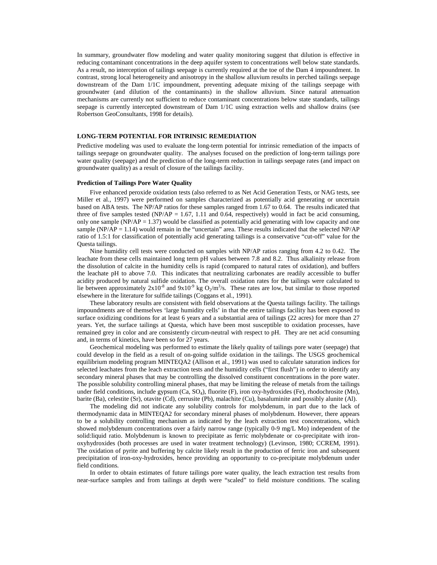In summary, groundwater flow modeling and water quality monitoring suggest that dilution is effective in reducing contaminant concentrations in the deep aquifer system to concentrations well below state standards. As a result, no interception of tailings seepage is currently required at the toe of the Dam 4 impoundment. In contrast, strong local heterogeneity and anisotropy in the shallow alluvium results in perched tailings seepage downstream of the Dam 1/1C impoundment, preventing adequate mixing of the tailings seepage with groundwater (and dilution of the contaminants) in the shallow alluvium. Since natural attenuation mechanisms are currently not sufficient to reduce contaminant concentrations below state standards, tailings seepage is currently intercepted downstream of Dam 1/1C using extraction wells and shallow drains (see Robertson GeoConsultants, 1998 for details).

#### **LONG-TERM POTENTIAL FOR INTRINSIC REMEDIATION**

Predictive modeling was used to evaluate the long-term potential for intrinsic remediation of the impacts of tailings seepage on groundwater quality. The analyses focused on the prediction of long-term tailings pore water quality (seepage) and the prediction of the long-term reduction in tailings seepage rates (and impact on groundwater quality) as a result of closure of the tailings facility.

#### **Prediction of Tailings Pore Water Quality**

Five enhanced peroxide oxidation tests (also referred to as Net Acid Generation Tests, or NAG tests, see Miller et al., 1997) were performed on samples characterized as potentially acid generating or uncertain based on ABA tests. The NP/AP ratios for these samples ranged from 1.67 to 0.64. The results indicated that three of five samples tested (NP/AP = 1.67, 1.11 and 0.64, respectively) would in fact be acid consuming, only one sample  $(NP/AP = 1.37)$  would be classified as potentially acid generating with low capacity and one sample ( $NP/AP = 1.14$ ) would remain in the "uncertain" area. These results indicated that the selected  $NP/AP$ ratio of 1.5:1 for classification of potentially acid generating tailings is a conservative "cut-off" value for the Questa tailings.

Nine humidity cell tests were conducted on samples with NP/AP ratios ranging from 4.2 to 0.42. The leachate from these cells maintained long term pH values between 7.8 and 8.2. Thus alkalinity release from the dissolution of calcite in the humidity cells is rapid (compared to natural rates of oxidation), and buffers the leachate pH to above 7.0. This indicates that neutralizing carbonates are readily accessible to buffer acidity produced by natural sulfide oxidation. The overall oxidation rates for the tailings were calculated to lie between approximately  $2x10^{-8}$  and  $9x10^{-9}$  kg  $O_2/m^3/s$ . These rates are low, but similar to those reported elsewhere in the literature for sulfide tailings (Coggans et al., 1991).

These laboratory results are consistent with field observations at the Questa tailings facility. The tailings impoundments are of themselves 'large humidity cells' in that the entire tailings facility has been exposed to surface oxidizing conditions for at least 6 years and a substantial area of tailings (22 acres) for more than 27 years. Yet, the surface tailings at Questa, which have been most susceptible to oxidation processes, have remained grey in color and are consistently circum-neutral with respect to pH. They are net acid consuming and, in terms of kinetics, have been so for 27 years.

Geochemical modeling was performed to estimate the likely quality of tailings pore water (seepage) that could develop in the field as a result of on-going sulfide oxidation in the tailings. The USGS geochemical equilibrium modeling program MINTEQA2 (Allison et al., 1991) was used to calculate saturation indices for selected leachates from the leach extraction tests and the humidity cells ("first flush") in order to identify any secondary mineral phases that may be controlling the dissolved constituent concentrations in the pore water. The possible solubility controlling mineral phases, that may be limiting the release of metals from the tailings under field conditions, include gypsum  $(Ca, SO_4)$ , fluorite (F), iron oxy-hydroxides (Fe), rhodochrosite (Mn), barite (Ba), celestite (Sr), otavite (Cd), cerrusite (Pb), malachite (Cu), basaluminite and possibly alunite (Al).

The modeling did not indicate any solubility controls for molybdenum, in part due to the lack of thermodynamic data in MINTEQA2 for secondary mineral phases of molybdenum. However, there appears to be a solubility controlling mechanism as indicated by the leach extraction test concentrations, which showed molybdenum concentrations over a fairly narrow range (typically 0-9 mg/L Mo) independent of the solid:liquid ratio. Molybdenum is known to precipitate as ferric molybdenate or co-precipitate with ironoxyhydroxides (both processes are used in water treatment technology) (Levinson, 1980; CCREM, 1991). The oxidation of pyrite and buffering by calcite likely result in the production of ferric iron and subsequent precipitation of iron-oxy-hydroxides, hence providing an opportunity to co-precipitate molybdenum under field conditions.

In order to obtain estimates of future tailings pore water quality, the leach extraction test results from near-surface samples and from tailings at depth were "scaled" to field moisture conditions. The scaling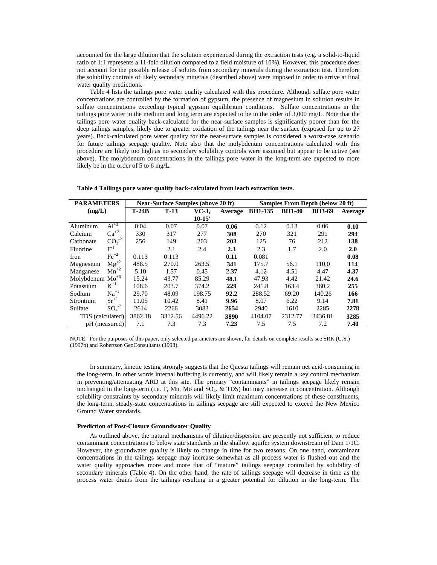accounted for the large dilution that the solution experienced during the extraction tests (e.g. a solid-to-liquid ratio of 1:1 represents a 11-fold dilution compared to a field moisture of 10%). However, this procedure does not account for the possible release of solutes from secondary minerals during the extraction test. Therefore the solubility controls of likely secondary minerals (described above) were imposed in order to arrive at final water quality predictions.

Table 4 lists the tailings pore water quality calculated with this procedure. Although sulfate pore water concentrations are controlled by the formation of gypsum, the presence of magnesium in solution results in sulfate concentrations exceeding typical gypsum equilibrium conditions. Sulfate concentrations in the tailings pore water in the medium and long term are expected to be in the order of 3,000 mg/L. Note that the tailings pore water quality back-calculated for the near-surface samples is significantly poorer than for the deep tailings samples, likely due to greater oxidation of the tailings near the surface (exposed for up to 27 years). Back-calculated pore water quality for the near-surface samples is considered a worst-case scenario for future tailings seepage quality. Note also that the molybdenum concentrations calculated with this procedure are likely too high as no secondary solubility controls were assumed but appear to be active (see above). The molybdenum concentrations in the tailings pore water in the long-term are expected to more likely be in the order of 5 to 6 mg/L.

| <b>PARAMETERS</b> |                               | <b>Near-Surface Samples (above 20 ft)</b> |         |          | <b>Samples From Depth (below 20 ft)</b> |                |               |               |         |
|-------------------|-------------------------------|-------------------------------------------|---------|----------|-----------------------------------------|----------------|---------------|---------------|---------|
| (mg/L)            |                               | $T-24B$                                   | $T-13$  | VC-3,    | Average                                 | <b>BH1-135</b> | <b>BH1-40</b> | <b>BH3-69</b> | Average |
|                   |                               |                                           |         | $10-15'$ |                                         |                |               |               |         |
| Aluminum          | $Al^{+3}$                     | 0.04                                      | 0.07    | 0.07     | 0.06                                    | 0.12           | 0.13          | 0.06          | 0.10    |
| Calcium           | $Ca^{+2}$                     | 330                                       | 317     | 277      | 308                                     | 270            | 321           | 291           | 294     |
| Carbonate         | $CO_3^{-2}$                   | 256                                       | 149     | 203      | 203                                     | 125            | 76            | 212           | 138     |
| Fluorine          | $\mathrm{F}^1$                |                                           | 2.1     | 2.4      | 2.3                                     | 2.3            | 1.7           | 2.0           | 2.0     |
| <b>Iron</b>       | $\text{Fe}^{+2}$              | 0.113                                     | 0.113   |          | 0.11                                    | 0.081          |               |               | 0.08    |
| Magnesium         | $Mg^{+2}$                     | 488.5                                     | 270.0   | 263.5    | 341                                     | 175.7          | 56.1          | 110.0         | 114     |
| Manganese         | $\overline{\mathrm{Mn}}^{+2}$ | 5.10                                      | 1.57    | 0.45     | 2.37                                    | 4.12           | 4.51          | 4.47          | 4.37    |
| Molybdenum $Mo+6$ |                               | 15.24                                     | 43.77   | 85.29    | 48.1                                    | 47.93          | 4.42          | 21.42         | 24.6    |
| Potassium         | $K^{+1}$                      | 108.6                                     | 203.7   | 374.2    | 229                                     | 241.8          | 163.4         | 360.2         | 255     |
| Sodium            | $Na^{+1}$                     | 29.70                                     | 48.09   | 198.75   | 92.2                                    | 288.52         | 69.20         | 140.26        | 166     |
| Strontium         | $Sr^{+2}$                     | 11.05                                     | 10.42   | 8.41     | 9.96                                    | 8.07           | 6.22          | 9.14          | 7.81    |
| Sulfate           | $SO4-2$                       | 2614                                      | 2266    | 3083     | 2654                                    | 2940           | 1610          | 2285          | 2278    |
| TDS (calculated)  |                               | 3862.18                                   | 3312.56 | 4496.22  | 3890                                    | 4104.07        | 2312.77       | 3436.81       | 3285    |
|                   | pH (measured)                 | 7.1                                       | 7.3     | 7.3      | 7.23                                    | 7.5            | 7.5           | 7.2           | 7.40    |

**Table 4 Tailings pore water quality back-calculated from leach extraction tests.**

NOTE: For the purposes of this paper, only selected parameters are shown, for details on complete results see SRK (U.S.) (1997b) and Robertson GeoConsultants (1998).

In summary, kinetic testing strongly suggests that the Questa tailings will remain net acid-consuming in the long-term. In other words internal buffering is currently, and will likely remain a key control mechanism in preventing/attenuating ARD at this site. The primary "contaminants" in tailings seepage likely remain unchanged in the long-term (i.e. F, Mn, Mo and  $SO_4$ .  $\&$  TDS) but may increase in concentration. Although solubility constraints by secondary minerals will likely limit maximum concentrations of these constituents, the long-term, steady-state concentrations in tailings seepage are still expected to exceed the New Mexico Ground Water standards.

#### **Prediction of Post-Closure Groundwater Quality**

As outlined above, the natural mechanisms of dilution/dispersion are presently not sufficient to reduce contaminant concentrations to below state standards in the shallow aquifer system downstream of Dam 1/1C. However, the groundwater quality is likely to change in time for two reasons. On one hand, contaminant concentrations in the tailings seepage may increase somewhat as all process water is flushed out and the water quality approaches more and more that of "mature" tailings seepage controlled by solubility of secondary minerals (Table 4). On the other hand, the rate of tailings seepage will decrease in time as the process water drains from the tailings resulting in a greater potential for dilution in the long-term. The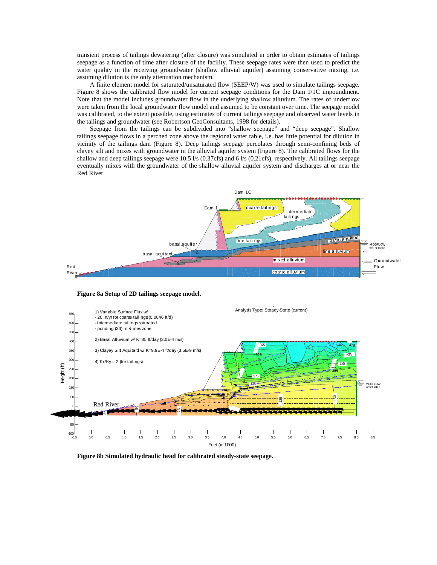transient process of tailings dewatering (after closure) was simulated in order to obtain estimates of tailings seepage as a function of time after closure of the facility. These seepage rates were then used to predict the water quality in the receiving groundwater (shallow alluvial aquifer) assuming conservative mixing, i.e. assuming dilution is the only attenuation mechanism.

A finite element model for saturated/unsaturated flow (SEEP/W) was used to simulate tailings seepage. Figure 8 shows the calibrated flow model for current seepage conditions for the Dam 1/1C impoundment. Note that the model includes groundwater flow in the underlying shallow alluvium. The rates of underflow were taken from the local groundwater flow model and assumed to be constant over time. The seepage model was calibrated, to the extent possible, using estimates of current tailings seepage and observed water levels in the tailings and groundwater (see Robertson GeoConsultants, 1998 for details).

Seepage from the tailings can be subdivided into "shallow seepage" and "deep seepage". Shallow tailings seepage flows in a perched zone above the regional water table, i.e. has little potential for dilution in vicinity of the tailings dam (Figure 8). Deep tailings seepage percolates through semi-confining beds of clayey silt and mixes with groundwater in the alluvial aquifer system (Figure 8). The calibrated flows for the shallow and deep tailings seepage were 10.5  $\frac{1}{s}$  (0.37cfs) and 6  $\frac{1}{s}$  (0.21cfs), respectively. All tailings seepage eventually mixes with the groundwater of the shallow alluvial aquifer system and discharges at or near the Red River.



**Figure 8a Setup of 2D tailings seepage model.**



**Figure 8b Simulated hydraulic head for calibrated steady-state seepage.**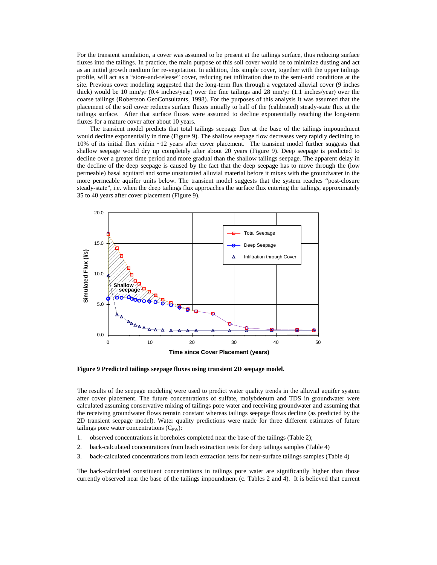For the transient simulation, a cover was assumed to be present at the tailings surface, thus reducing surface fluxes into the tailings. In practice, the main purpose of this soil cover would be to minimize dusting and act as an initial growth medium for re-vegetation. In addition, this simple cover, together with the upper tailings profile, will act as a "store-and-release" cover, reducing net infiltration due to the semi-arid conditions at the site. Previous cover modeling suggested that the long-term flux through a vegetated alluvial cover (9 inches thick) would be 10 mm/yr (0.4 inches/year) over the fine tailings and 28 mm/yr (1.1 inches/year) over the coarse tailings (Robertson GeoConsultants, 1998). For the purposes of this analysis it was assumed that the placement of the soil cover reduces surface fluxes initially to half of the (calibrated) steady-state flux at the tailings surface. After that surface fluxes were assumed to decline exponentially reaching the long-term fluxes for a mature cover after about 10 years.

The transient model predicts that total tailings seepage flux at the base of the tailings impoundment would decline exponentially in time (Figure 9). The shallow seepage flow decreases very rapidly declining to 10% of its initial flux within ~12 years after cover placement. The transient model further suggests that shallow seepage would dry up completely after about 20 years (Figure 9). Deep seepage is predicted to decline over a greater time period and more gradual than the shallow tailings seepage. The apparent delay in the decline of the deep seepage is caused by the fact that the deep seepage has to move through the (low permeable) basal aquitard and some unsaturated alluvial material before it mixes with the groundwater in the more permeable aquifer units below. The transient model suggests that the system reaches "post-closure steady-state", i.e. when the deep tailings flux approaches the surface flux entering the tailings, approximately 35 to 40 years after cover placement (Figure 9).



**Figure 9 Predicted tailings seepage fluxes using transient 2D seepage model.**

The results of the seepage modeling were used to predict water quality trends in the alluvial aquifer system after cover placement. The future concentrations of sulfate, molybdenum and TDS in groundwater were calculated assuming conservative mixing of tailings pore water and receiving groundwater and assuming that the receiving groundwater flows remain constant whereas tailings seepage flows decline (as predicted by the 2D transient seepage model). Water quality predictions were made for three different estimates of future tailings pore water concentrations  $(C_{PW})$ :

- 1. observed concentrations in boreholes completed near the base of the tailings (Table 2);
- 2. back-calculated concentrations from leach extraction tests for deep tailings samples (Table 4)
- 3. back-calculated concentrations from leach extraction tests for near-surface tailings samples (Table 4)

The back-calculated constituent concentrations in tailings pore water are significantly higher than those currently observed near the base of the tailings impoundment (c. Tables 2 and 4). It is believed that current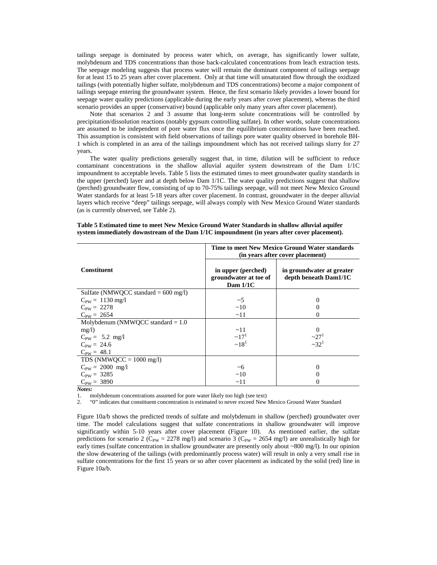tailings seepage is dominated by process water which, on average, has significantly lower sulfate, molybdenum and TDS concentrations than those back-calculated concentrations from leach extraction tests. The seepage modeling suggests that process water will remain the dominant component of tailings seepage for at least 15 to 25 years after cover placement. Only at that time will unsaturated flow through the oxidized tailings (with potentially higher sulfate, molybdenum and TDS concentrations) become a major component of tailings seepage entering the groundwater system. Hence, the first scenario likely provides a lower bound for seepage water quality predictions (applicable during the early years after cover placement), whereas the third scenario provides an upper (conservative) bound (applicable only many years after cover placement).

Note that scenarios 2 and 3 assume that long-term solute concentrations will be controlled by precipitation/dissolution reactions (notably gypsum controlling sulfate). In other words, solute concentrations are assumed to be independent of pore water flux once the equilibrium concentrations have been reached. This assumption is consistent with field observations of tailings pore water quality observed in borehole BH-1 which is completed in an area of the tailings impoundment which has not received tailings slurry for 27 years.

The water quality predictions generally suggest that, in time, dilution will be sufficient to reduce contaminant concentrations in the shallow alluvial aquifer system downstream of the Dam 1/1C impoundment to acceptable levels. Table 5 lists the estimated times to meet groundwater quality standards in the upper (perched) layer and at depth below Dam 1/1C. The water quality predictions suggest that shallow (perched) groundwater flow, consisting of up to 70-75% tailings seepage, will not meet New Mexico Ground Water standards for at least 5-18 years after cover placement. In contrast, groundwater in the deeper alluvial layers which receive "deep" tailings seepage, will always comply with New Mexico Ground Water standards (as is currently observed, see Table 2).

|                                        | Time to meet New Mexico Ground Water standards<br>(in years after cover placement) |                                                    |  |  |
|----------------------------------------|------------------------------------------------------------------------------------|----------------------------------------------------|--|--|
| <b>Constituent</b>                     | in upper (perched)<br>groundwater at toe of<br>Dam $1/1C$                          | in groundwater at greater<br>depth beneath Dam1/1C |  |  |
| Sulfate (NMWQCC standard $= 600$ mg/l) |                                                                                    |                                                    |  |  |
| $C_{PW} = 1130$ mg/l                   | $\sim$ 5                                                                           |                                                    |  |  |
| $C_{PW} = 2278$                        | ~10                                                                                |                                                    |  |  |
| $C_{PW} = 2654$                        | ~11                                                                                |                                                    |  |  |
| Molybdenum (NMWOCC standard $= 1.0$    |                                                                                    |                                                    |  |  |
| mg/l                                   | $\sim$ 11                                                                          |                                                    |  |  |
| $C_{PW} = 5.2$ mg/l                    | $\sim 17^{1}$                                                                      | $\frac{27^1}{32^1}$                                |  |  |
| $C_{PW} = 24.6$                        | $~18^{1}$                                                                          |                                                    |  |  |
| $C_{PW} = 48.1$                        |                                                                                    |                                                    |  |  |
| TDS (NMWQCC = $1000 \text{ mg/l}$ )    |                                                                                    |                                                    |  |  |
| $C_{PW} = 2000$ mg/l                   | ~6                                                                                 | $\mathbf{\Omega}$                                  |  |  |
| $C_{PW} = 3285$                        | ~10                                                                                |                                                    |  |  |
| $C_{PW} = 3890$                        | ~11                                                                                |                                                    |  |  |

**Table 5 Estimated time to meet New Mexico Ground Water Standards in shallow alluvial aquifer system immediately downstream of the Dam 1/1C impoundment (in years after cover placement).**

*Notes:*

1. molybdenum concentrations assumed for pore water likely too high (see text)

2. "0" indicates that constituent concentration is estimated to never exceed New Mexico Ground Water Standard

Figure 10a/b shows the predicted trends of sulfate and molybdenum in shallow (perched) groundwater over time. The model calculations suggest that sulfate concentrations in shallow groundwater will improve significantly within 5-10 years after cover placement (Figure 10). As mentioned earlier, the sulfate predictions for scenario 2 (C<sub>PW</sub> = 2278 mg/l) and scenario 3 (C<sub>PW</sub> = 2654 mg/l) are unrealistically high for early times (sulfate concentration in shallow groundwater are presently only about ~800 mg/l). In our opinion the slow dewatering of the tailings (with predominantly process water) will result in only a very small rise in sulfate concentrations for the first 15 years or so after cover placement as indicated by the solid (red) line in Figure 10a/b.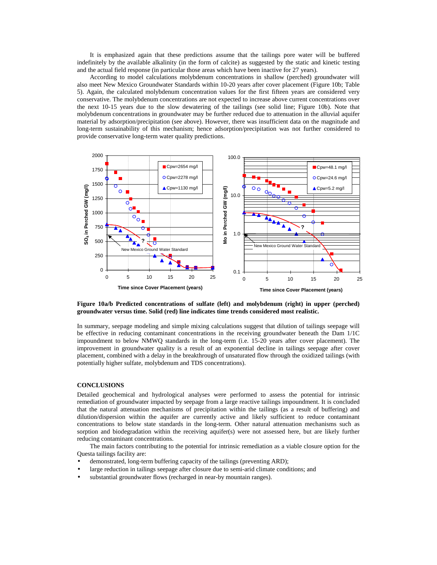It is emphasized again that these predictions assume that the tailings pore water will be buffered indefinitely by the available alkalinity (in the form of calcite) as suggested by the static and kinetic testing and the actual field response (in particular those areas which have been inactive for 27 years).

According to model calculations molybdenum concentrations in shallow (perched) groundwater will also meet New Mexico Groundwater Standards within 10-20 years after cover placement (Figure 10b; Table 5). Again, the calculated molybdenum concentration values for the first fifteen years are considered very conservative. The molybdenum concentrations are not expected to increase above current concentrations over the next 10-15 years due to the slow dewatering of the tailings (see solid line; Figure 10b). Note that molybdenum concentrations in groundwater may be further reduced due to attenuation in the alluvial aquifer material by adsorption/precipitation (see above). However, there was insufficient data on the magnitude and long-term sustainability of this mechanism; hence adsorption/precipitation was not further considered to provide conservative long-term water quality predictions.



**Figure 10a/b Predicted concentrations of sulfate (left) and molybdenum (right) in upper (perched) groundwater versus time. Solid (red) line indicates time trends considered most realistic.**

In summary, seepage modeling and simple mixing calculations suggest that dilution of tailings seepage will be effective in reducing contaminant concentrations in the receiving groundwater beneath the Dam 1/1C impoundment to below NMWQ standards in the long-term (i.e. 15-20 years after cover placement). The improvement in groundwater quality is a result of an exponential decline in tailings seepage after cover placement, combined with a delay in the breakthrough of unsaturated flow through the oxidized tailings (with potentially higher sulfate, molybdenum and TDS concentrations).

# **CONCLUSIONS**

Detailed geochemical and hydrological analyses were performed to assess the potential for intrinsic remediation of groundwater impacted by seepage from a large reactive tailings impoundment. It is concluded that the natural attenuation mechanisms of precipitation within the tailings (as a result of buffering) and dilution/dispersion within the aquifer are currently active and likely sufficient to reduce contaminant concentrations to below state standards in the long-term. Other natural attenuation mechanisms such as sorption and biodegradation within the receiving aquifer(s) were not assessed here, but are likely further reducing contaminant concentrations.

The main factors contributing to the potential for intrinsic remediation as a viable closure option for the Questa tailings facility are:

- demonstrated, long-term buffering capacity of the tailings (preventing ARD);
- large reduction in tailings seepage after closure due to semi-arid climate conditions; and
- substantial groundwater flows (recharged in near-by mountain ranges).